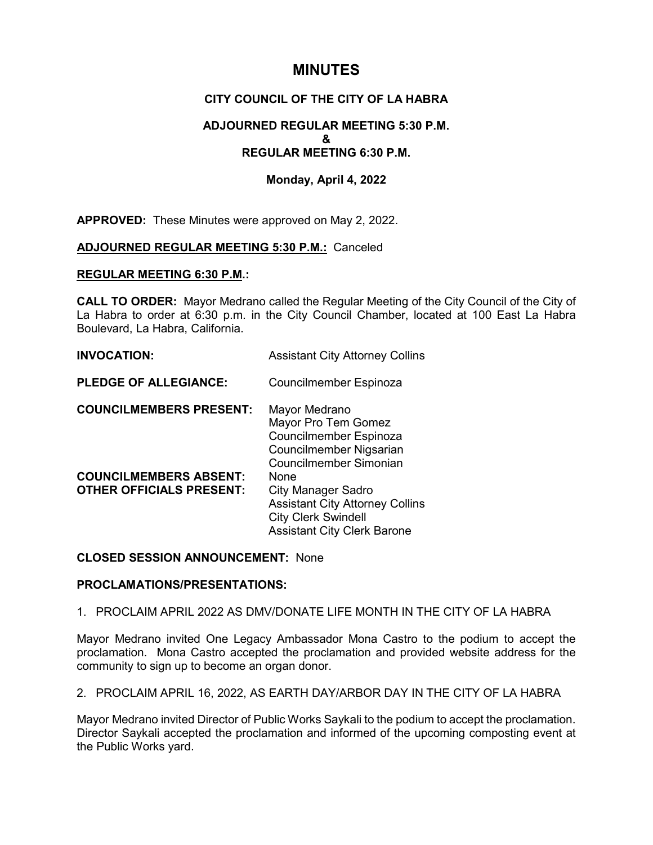# **MINUTES**

# **CITY COUNCIL OF THE CITY OF LA HABRA**

# **ADJOURNED REGULAR MEETING 5:30 P.M. & REGULAR MEETING 6:30 P.M.**

# **Monday, April 4, 2022**

**APPROVED:** These Minutes were approved on May 2, 2022.

#### **ADJOURNED REGULAR MEETING 5:30 P.M.:** Canceled

#### **REGULAR MEETING 6:30 P.M.:**

**CALL TO ORDER:** Mayor Medrano called the Regular Meeting of the City Council of the City of La Habra to order at 6:30 p.m. in the City Council Chamber, located at 100 East La Habra Boulevard, La Habra, California.

| <b>INVOCATION:</b> | <b>Assistant City Attorney Collins</b> |
|--------------------|----------------------------------------|
|                    |                                        |

**PLEDGE OF ALLEGIANCE:** Councilmember Espinoza

| <b>COUNCILMEMBERS PRESENT:</b>  | Mayor Medrano                          |
|---------------------------------|----------------------------------------|
|                                 | Mayor Pro Tem Gomez                    |
|                                 | Councilmember Espinoza                 |
|                                 | Councilmember Nigsarian                |
|                                 | Councilmember Simonian                 |
| <b>COUNCILMEMBERS ABSENT:</b>   | None                                   |
| <b>OTHER OFFICIALS PRESENT:</b> | <b>City Manager Sadro</b>              |
|                                 | <b>Assistant City Attorney Collins</b> |
|                                 | <b>City Clerk Swindell</b>             |
|                                 | <b>Assistant City Clerk Barone</b>     |

#### **CLOSED SESSION ANNOUNCEMENT:** None

#### **PROCLAMATIONS/PRESENTATIONS:**

1. PROCLAIM APRIL 2022 AS DMV/DONATE LIFE MONTH IN THE CITY OF LA HABRA

Mayor Medrano invited One Legacy Ambassador Mona Castro to the podium to accept the proclamation. Mona Castro accepted the proclamation and provided website address for the community to sign up to become an organ donor.

2. PROCLAIM APRIL 16, 2022, AS EARTH DAY/ARBOR DAY IN THE CITY OF LA HABRA

Mayor Medrano invited Director of Public Works Saykali to the podium to accept the proclamation. Director Saykali accepted the proclamation and informed of the upcoming composting event at the Public Works yard.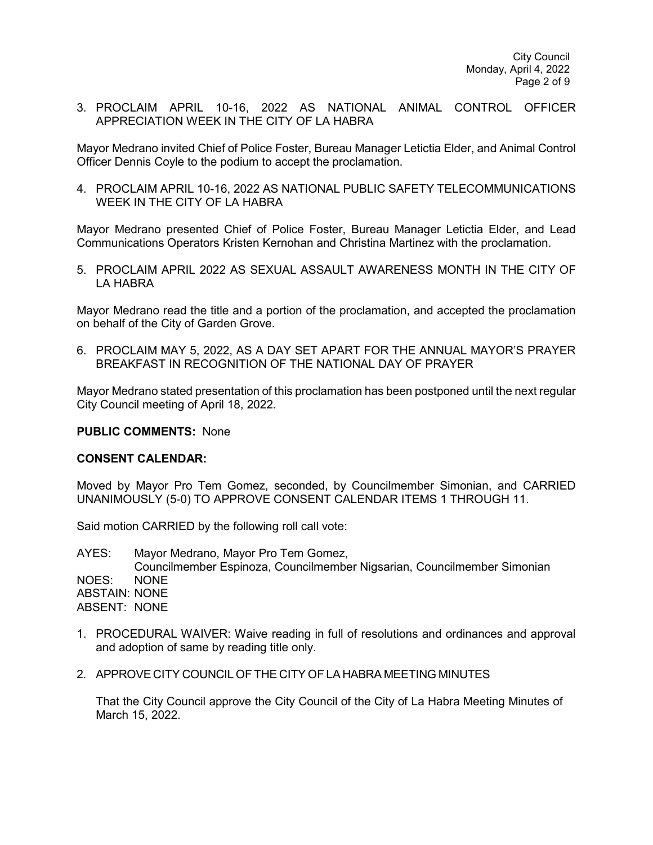3. PROCLAIM APRIL 10-16, 2022 AS NATIONAL ANIMAL CONTROL OFFICER APPRECIATION WEEK IN THE CITY OF LA HABRA

Mayor Medrano invited Chief of Police Foster, Bureau Manager Letictia Elder, and Animal Control Officer Dennis Coyle to the podium to accept the proclamation.

4. PROCLAIM APRIL 10-16, 2022 AS NATIONAL PUBLIC SAFETY TELECOMMUNICATIONS WEEK IN THE CITY OF LA HABRA

Mayor Medrano presented Chief of Police Foster, Bureau Manager Letictia Elder, and Lead Communications Operators Kristen Kernohan and Christina Martinez with the proclamation.

5. PROCLAIM APRIL 2022 AS SEXUAL ASSAULT AWARENESS MONTH IN THE CITY OF LA HABRA

Mayor Medrano read the title and a portion of the proclamation, and accepted the proclamation on behalf of the City of Garden Grove.

6. PROCLAIM MAY 5, 2022, AS A DAY SET APART FOR THE ANNUAL MAYOR'S PRAYER BREAKFAST IN RECOGNITION OF THE NATIONAL DAY OF PRAYER

Mayor Medrano stated presentation of this proclamation has been postponed until the next regular City Council meeting of April 18, 2022.

#### **PUBLIC COMMENTS:** None

#### **CONSENT CALENDAR:**

Moved by Mayor Pro Tem Gomez, seconded, by Councilmember Simonian, and CARRIED UNANIMOUSLY (5-0) TO APPROVE CONSENT CALENDAR ITEMS 1 THROUGH 11.

Said motion CARRIED by the following roll call vote:

AYES: Mayor Medrano, Mayor Pro Tem Gomez, Councilmember Espinoza, Councilmember Nigsarian, Councilmember Simonian NOES: NONE ABSTAIN: NONE ABSENT: NONE

- 1. PROCEDURAL WAIVER: Waive reading in full of resolutions and ordinances and approval and adoption of same by reading title only.
- 2. APPROVE CITY COUNCIL OFTHE CITY OF LA HABRA MEETING MINUTES

That the City Council approve the City Council of the City of La Habra Meeting Minutes of March 15, 2022.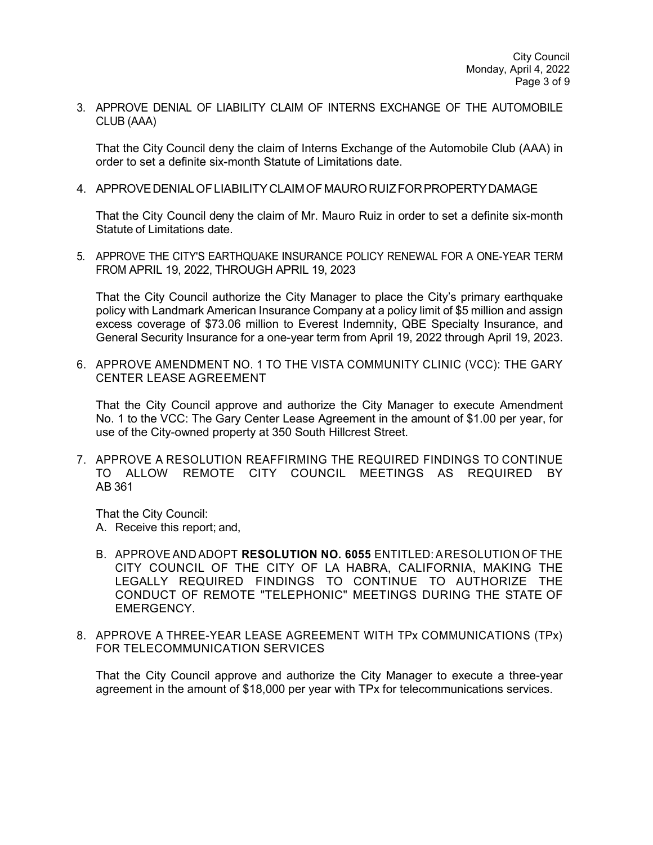3. APPROVE DENIAL OF LIABILITY CLAIM OF INTERNS EXCHANGE OF THE AUTOMOBILE CLUB (AAA)

That the City Council deny the claim of Interns Exchange of the Automobile Club (AAA) in order to set a definite six-month Statute of Limitations date.

4. APPROVEDENIALOFLIABILITY CLAIMOF MAURORUIZFORPROPERTYDAMAGE

That the City Council deny the claim of Mr. Mauro Ruiz in order to set a definite six-month Statute of Limitations date.

5. APPROVE THE CITY'S EARTHQUAKE INSURANCE POLICY RENEWAL FOR A ONE-YEAR TERM FROM APRIL 19, 2022, THROUGH APRIL 19, 2023

That the City Council authorize the City Manager to place the City's primary earthquake policy with Landmark American Insurance Company at a policy limit of \$5 million and assign excess coverage of \$73.06 million to Everest Indemnity, QBE Specialty Insurance, and General Security Insurance for a one-year term from April 19, 2022 through April 19, 2023.

6. APPROVE AMENDMENT NO. 1 TO THE VISTA COMMUNITY CLINIC (VCC): THE GARY CENTER LEASE AGREEMENT

That the City Council approve and authorize the City Manager to execute Amendment No. 1 to the VCC: The Gary Center Lease Agreement in the amount of \$1.00 per year, for use of the City-owned property at 350 South Hillcrest Street.

7. APPROVE A RESOLUTION REAFFIRMING THE REQUIRED FINDINGS TO CONTINUE TO ALLOW REMOTE CITY COUNCIL MEETINGS AS REQUIRED BY AB 361

That the City Council: A. Receive this report; and,

- B. APPROVEAND ADOPT **RESOLUTION NO. 6055** ENTITLED:ARESOLUTION OF THE CITY COUNCIL OF THE CITY OF LA HABRA, CALIFORNIA, MAKING THE LEGALLY REQUIRED FINDINGS TO CONTINUE TO AUTHORIZE THE CONDUCT OF REMOTE "TELEPHONIC" MEETINGS DURING THE STATE OF EMERGENCY.
- 8. APPROVE A THREE-YEAR LEASE AGREEMENT WITH TPx COMMUNICATIONS (TPx) FOR TELECOMMUNICATION SERVICES

That the City Council approve and authorize the City Manager to execute a three-year agreement in the amount of \$18,000 per year with TPx for telecommunications services.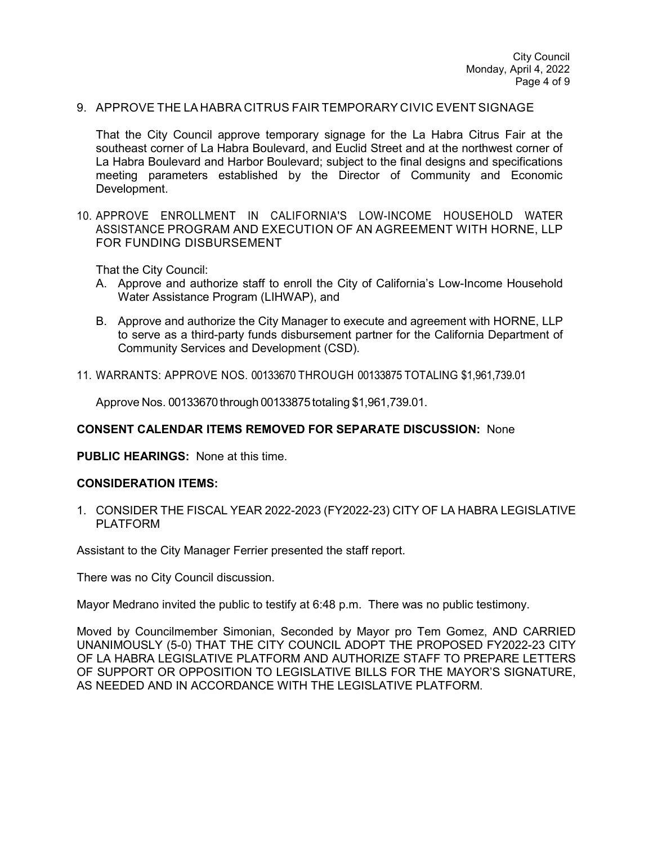#### 9. APPROVE THE LA HABRA CITRUS FAIR TEMPORARY CIVIC EVENT SIGNAGE

That the City Council approve temporary signage for the La Habra Citrus Fair at the southeast corner of La Habra Boulevard, and Euclid Street and at the northwest corner of La Habra Boulevard and Harbor Boulevard; subject to the final designs and specifications meeting parameters established by the Director of Community and Economic Development.

10. APPROVE ENROLLMENT IN CALIFORNIA'S LOW-INCOME HOUSEHOLD WATER ASSISTANCE PROGRAM AND EXECUTION OF AN AGREEMENT WITH HORNE, LLP FOR FUNDING DISBURSEMENT

That the City Council:

- A. Approve and authorize staff to enroll the City of California's Low-Income Household Water Assistance Program (LIHWAP), and
- B. Approve and authorize the City Manager to execute and agreement with HORNE, LLP to serve as a third-party funds disbursement partner for the California Department of Community Services and Development (CSD).
- 11. WARRANTS: APPROVE NOS. 00133670 THROUGH 00133875 TOTALING \$1,961,739.01

Approve Nos. 00133670 through 00133875 totaling \$1,961,739.01.

#### **CONSENT CALENDAR ITEMS REMOVED FOR SEPARATE DISCUSSION:** None

**PUBLIC HEARINGS:** None at this time.

#### **CONSIDERATION ITEMS:**

1. CONSIDER THE FISCAL YEAR 2022-2023 (FY2022-23) CITY OF LA HABRA LEGISLATIVE PLATFORM

Assistant to the City Manager Ferrier presented the staff report.

There was no City Council discussion.

Mayor Medrano invited the public to testify at 6:48 p.m. There was no public testimony.

Moved by Councilmember Simonian, Seconded by Mayor pro Tem Gomez, AND CARRIED UNANIMOUSLY (5-0) THAT THE CITY COUNCIL ADOPT THE PROPOSED FY2022-23 CITY OF LA HABRA LEGISLATIVE PLATFORM AND AUTHORIZE STAFF TO PREPARE LETTERS OF SUPPORT OR OPPOSITION TO LEGISLATIVE BILLS FOR THE MAYOR'S SIGNATURE, AS NEEDED AND IN ACCORDANCE WITH THE LEGISLATIVE PLATFORM.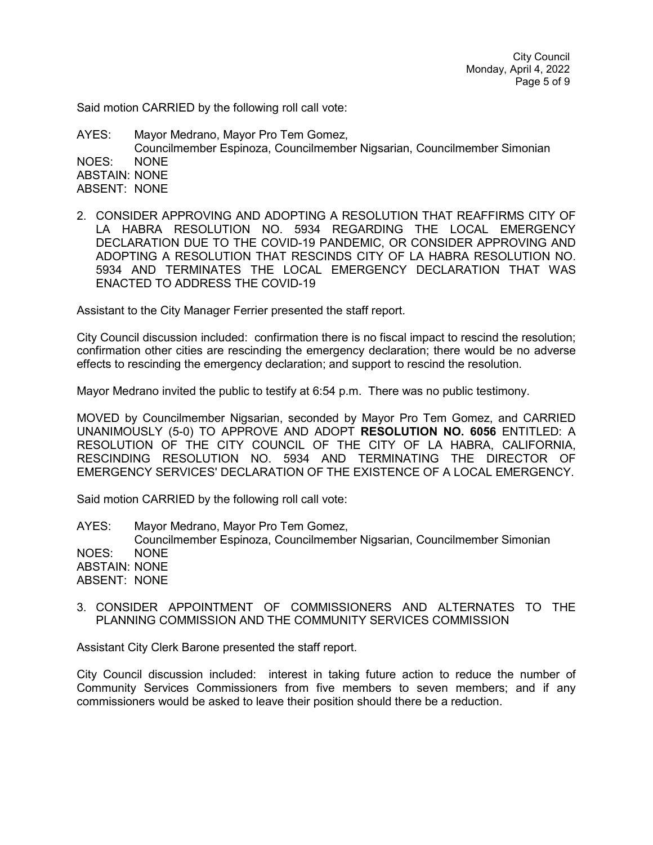City Council Monday, April 4, 2022 Page 5 of 9

Said motion CARRIED by the following roll call vote:

AYES: Mayor Medrano, Mayor Pro Tem Gomez, Councilmember Espinoza, Councilmember Nigsarian, Councilmember Simonian NOES: NONE ABSTAIN: NONE ABSENT: NONE

2. CONSIDER APPROVING AND ADOPTING A RESOLUTION THAT REAFFIRMS CITY OF LA HABRA RESOLUTION NO. 5934 REGARDING THE LOCAL EMERGENCY DECLARATION DUE TO THE COVID-19 PANDEMIC, OR CONSIDER APPROVING AND ADOPTING A RESOLUTION THAT RESCINDS CITY OF LA HABRA RESOLUTION NO. 5934 AND TERMINATES THE LOCAL EMERGENCY DECLARATION THAT WAS ENACTED TO ADDRESS THE COVID-19

Assistant to the City Manager Ferrier presented the staff report.

City Council discussion included: confirmation there is no fiscal impact to rescind the resolution; confirmation other cities are rescinding the emergency declaration; there would be no adverse effects to rescinding the emergency declaration; and support to rescind the resolution.

Mayor Medrano invited the public to testify at 6:54 p.m. There was no public testimony.

MOVED by Councilmember Nigsarian, seconded by Mayor Pro Tem Gomez, and CARRIED UNANIMOUSLY (5-0) TO APPROVE AND ADOPT **RESOLUTION NO. 6056** ENTITLED: A RESOLUTION OF THE CITY COUNCIL OF THE CITY OF LA HABRA, CALIFORNIA, RESCINDING RESOLUTION NO. 5934 AND TERMINATING THE DIRECTOR OF EMERGENCY SERVICES' DECLARATION OF THE EXISTENCE OF A LOCAL EMERGENCY.

Said motion CARRIED by the following roll call vote:

AYES: Mayor Medrano, Mayor Pro Tem Gomez, Councilmember Espinoza, Councilmember Nigsarian, Councilmember Simonian NOES: NONE ABSTAIN: NONE ABSENT: NONE

3. CONSIDER APPOINTMENT OF COMMISSIONERS AND ALTERNATES TO THE PLANNING COMMISSION AND THE COMMUNITY SERVICES COMMISSION

Assistant City Clerk Barone presented the staff report.

City Council discussion included: interest in taking future action to reduce the number of Community Services Commissioners from five members to seven members; and if any commissioners would be asked to leave their position should there be a reduction.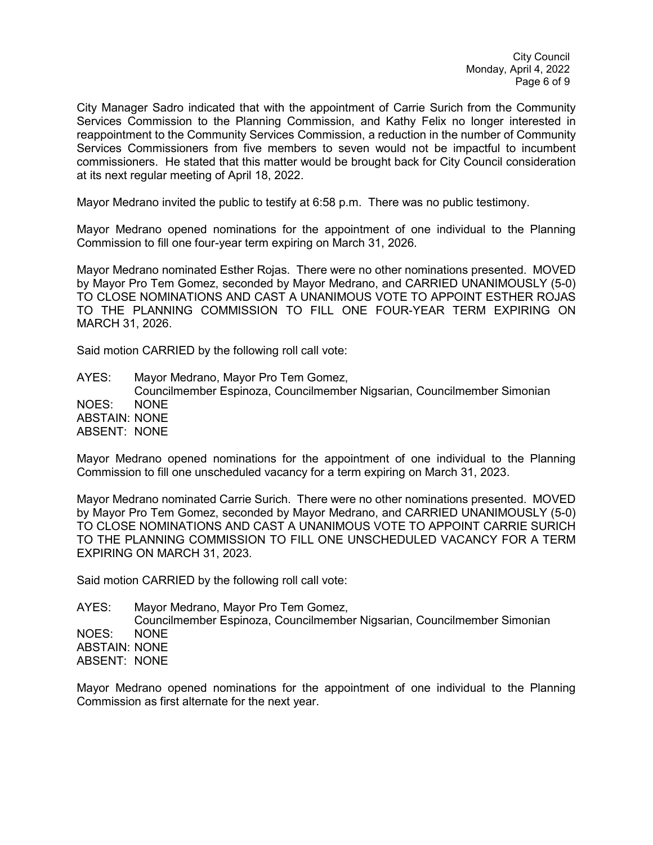City Manager Sadro indicated that with the appointment of Carrie Surich from the Community Services Commission to the Planning Commission, and Kathy Felix no longer interested in reappointment to the Community Services Commission, a reduction in the number of Community Services Commissioners from five members to seven would not be impactful to incumbent commissioners. He stated that this matter would be brought back for City Council consideration at its next regular meeting of April 18, 2022.

Mayor Medrano invited the public to testify at 6:58 p.m. There was no public testimony.

Mayor Medrano opened nominations for the appointment of one individual to the Planning Commission to fill one four-year term expiring on March 31, 2026.

Mayor Medrano nominated Esther Rojas. There were no other nominations presented. MOVED by Mayor Pro Tem Gomez, seconded by Mayor Medrano, and CARRIED UNANIMOUSLY (5-0) TO CLOSE NOMINATIONS AND CAST A UNANIMOUS VOTE TO APPOINT ESTHER ROJAS TO THE PLANNING COMMISSION TO FILL ONE FOUR-YEAR TERM EXPIRING ON MARCH 31, 2026.

Said motion CARRIED by the following roll call vote:

AYES: Mayor Medrano, Mayor Pro Tem Gomez, Councilmember Espinoza, Councilmember Nigsarian, Councilmember Simonian NOES: NONE ABSTAIN: NONE ABSENT: NONE

Mayor Medrano opened nominations for the appointment of one individual to the Planning Commission to fill one unscheduled vacancy for a term expiring on March 31, 2023.

Mayor Medrano nominated Carrie Surich. There were no other nominations presented. MOVED by Mayor Pro Tem Gomez, seconded by Mayor Medrano, and CARRIED UNANIMOUSLY (5-0) TO CLOSE NOMINATIONS AND CAST A UNANIMOUS VOTE TO APPOINT CARRIE SURICH TO THE PLANNING COMMISSION TO FILL ONE UNSCHEDULED VACANCY FOR A TERM EXPIRING ON MARCH 31, 2023.

Said motion CARRIED by the following roll call vote:

AYES: Mayor Medrano, Mayor Pro Tem Gomez, Councilmember Espinoza, Councilmember Nigsarian, Councilmember Simonian NOES: NONE ABSTAIN: NONE ABSENT: NONE

Mayor Medrano opened nominations for the appointment of one individual to the Planning Commission as first alternate for the next year.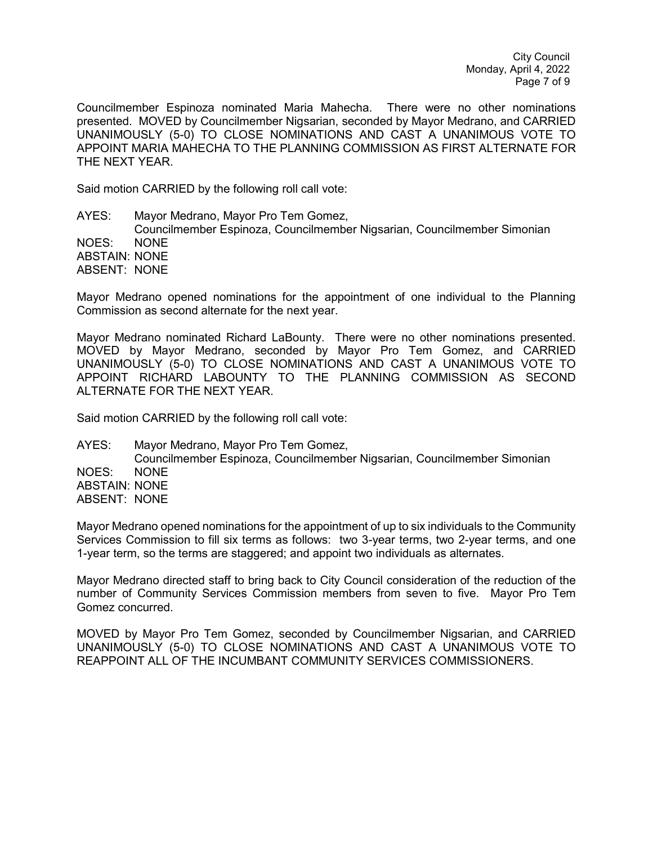City Council Monday, April 4, 2022 Page 7 of 9

Councilmember Espinoza nominated Maria Mahecha. There were no other nominations presented. MOVED by Councilmember Nigsarian, seconded by Mayor Medrano, and CARRIED UNANIMOUSLY (5-0) TO CLOSE NOMINATIONS AND CAST A UNANIMOUS VOTE TO APPOINT MARIA MAHECHA TO THE PLANNING COMMISSION AS FIRST ALTERNATE FOR THE NEXT YEAR.

Said motion CARRIED by the following roll call vote:

AYES: Mayor Medrano, Mayor Pro Tem Gomez, Councilmember Espinoza, Councilmember Nigsarian, Councilmember Simonian NOES: NONE ABSTAIN: NONE ABSENT: NONE

Mayor Medrano opened nominations for the appointment of one individual to the Planning Commission as second alternate for the next year.

Mayor Medrano nominated Richard LaBounty. There were no other nominations presented. MOVED by Mayor Medrano, seconded by Mayor Pro Tem Gomez, and CARRIED UNANIMOUSLY (5-0) TO CLOSE NOMINATIONS AND CAST A UNANIMOUS VOTE TO APPOINT RICHARD LABOUNTY TO THE PLANNING COMMISSION AS SECOND ALTERNATE FOR THE NEXT YEAR.

Said motion CARRIED by the following roll call vote:

AYES: Mayor Medrano, Mayor Pro Tem Gomez, Councilmember Espinoza, Councilmember Nigsarian, Councilmember Simonian NOES: NONE ABSTAIN: NONE ABSENT: NONE

Mayor Medrano opened nominations for the appointment of up to six individuals to the Community Services Commission to fill six terms as follows: two 3-year terms, two 2-year terms, and one 1-year term, so the terms are staggered; and appoint two individuals as alternates.

Mayor Medrano directed staff to bring back to City Council consideration of the reduction of the number of Community Services Commission members from seven to five. Mayor Pro Tem Gomez concurred.

MOVED by Mayor Pro Tem Gomez, seconded by Councilmember Nigsarian, and CARRIED UNANIMOUSLY (5-0) TO CLOSE NOMINATIONS AND CAST A UNANIMOUS VOTE TO REAPPOINT ALL OF THE INCUMBANT COMMUNITY SERVICES COMMISSIONERS.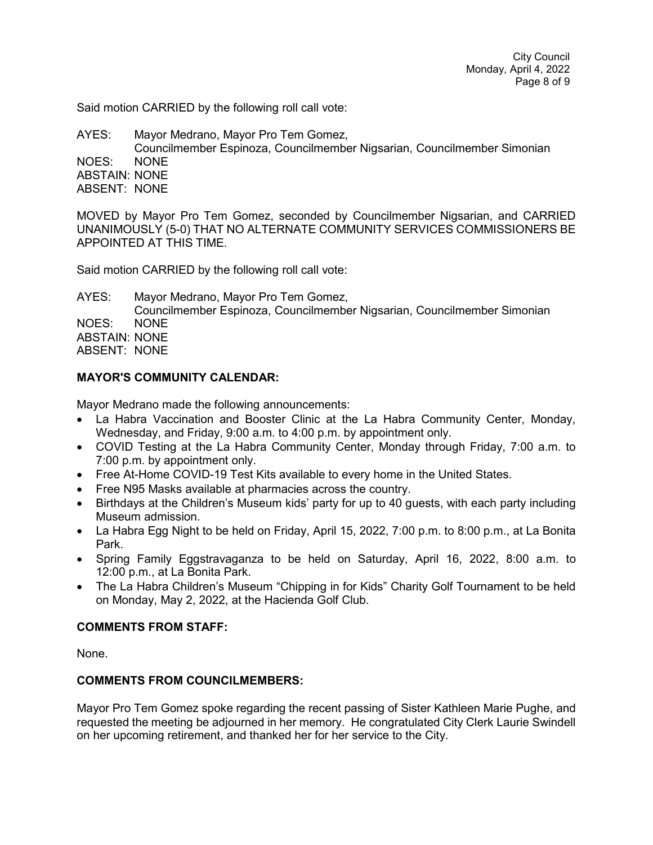Said motion CARRIED by the following roll call vote:

AYES: Mayor Medrano, Mayor Pro Tem Gomez, Councilmember Espinoza, Councilmember Nigsarian, Councilmember Simonian NOES: NONE ABSTAIN: NONE ABSENT: NONE

MOVED by Mayor Pro Tem Gomez, seconded by Councilmember Nigsarian, and CARRIED UNANIMOUSLY (5-0) THAT NO ALTERNATE COMMUNITY SERVICES COMMISSIONERS BE APPOINTED AT THIS TIME.

Said motion CARRIED by the following roll call vote:

AYES: Mayor Medrano, Mayor Pro Tem Gomez, Councilmember Espinoza, Councilmember Nigsarian, Councilmember Simonian NOES: NONE ABSTAIN: NONE ABSENT: NONE

## **MAYOR'S COMMUNITY CALENDAR:**

Mayor Medrano made the following announcements:

- La Habra Vaccination and Booster Clinic at the La Habra Community Center, Monday, Wednesday, and Friday, 9:00 a.m. to 4:00 p.m. by appointment only.
- COVID Testing at the La Habra Community Center, Monday through Friday, 7:00 a.m. to 7:00 p.m. by appointment only.
- Free At-Home COVID-19 Test Kits available to every home in the United States.
- Free N95 Masks available at pharmacies across the country.
- Birthdays at the Children's Museum kids' party for up to 40 guests, with each party including Museum admission.
- La Habra Egg Night to be held on Friday, April 15, 2022, 7:00 p.m. to 8:00 p.m., at La Bonita Park.
- Spring Family Eggstravaganza to be held on Saturday, April 16, 2022, 8:00 a.m. to 12:00 p.m., at La Bonita Park.
- The La Habra Children's Museum "Chipping in for Kids" Charity Golf Tournament to be held on Monday, May 2, 2022, at the Hacienda Golf Club.

## **COMMENTS FROM STAFF:**

None.

## **COMMENTS FROM COUNCILMEMBERS:**

Mayor Pro Tem Gomez spoke regarding the recent passing of Sister Kathleen Marie Pughe, and requested the meeting be adjourned in her memory. He congratulated City Clerk Laurie Swindell on her upcoming retirement, and thanked her for her service to the City.